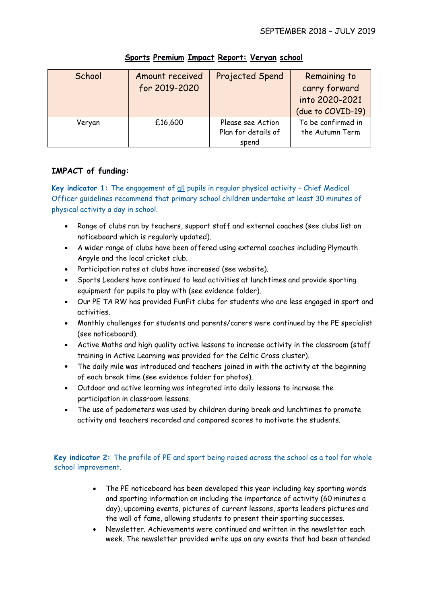| School | Amount received<br>for 2019-2020 | Projected Spend                                   | Remaining to<br>carry forward<br>into 2020-2021<br>(due to COVID-19) |
|--------|----------------------------------|---------------------------------------------------|----------------------------------------------------------------------|
| Veryan | £16,600                          | Please see Action<br>Plan for details of<br>spend | To be confirmed in<br>the Autumn Term                                |

## **Sports Premium Impact Report: Veryan school**

# **IMPACT of funding:**

**Key indicator 1:** The engagement of all pupils in regular physical activity – Chief Medical Officer guidelines recommend that primary school children undertake at least 30 minutes of physical activity a day in school.

- Range of clubs ran by teachers, support staff and external coaches (see clubs list on noticeboard which is regularly updated).
- A wider range of clubs have been offered using external coaches including Plymouth Argyle and the local cricket club.
- Participation rates at clubs have increased (see website).
- Sports Leaders have continued to lead activities at lunchtimes and provide sporting equipment for pupils to play with (see evidence folder).
- Our PE TA RW has provided FunFit clubs for students who are less engaged in sport and activities.
- Monthly challenges for students and parents/carers were continued by the PE specialist (see noticeboard).
- Active Maths and high quality active lessons to increase activity in the classroom (staff training in Active Learning was provided for the Celtic Cross cluster).
- The daily mile was introduced and teachers joined in with the activity at the beginning of each break time (see evidence folder for photos).
- Outdoor and active learning was integrated into daily lessons to increase the participation in classroom lessons.
- The use of pedometers was used by children during break and lunchtimes to promote activity and teachers recorded and compared scores to motivate the students.

**Key indicator 2:** The profile of PE and sport being raised across the school as a tool for whole school improvement.

- The PE noticeboard has been developed this year including key sporting words and sporting information on including the importance of activity (60 minutes a day), upcoming events, pictures of current lessons, sports leaders pictures and the wall of fame, allowing students to present their sporting successes.
- Newsletter. Achievements were continued and written in the newsletter each week. The newsletter provided write ups on any events that had been attended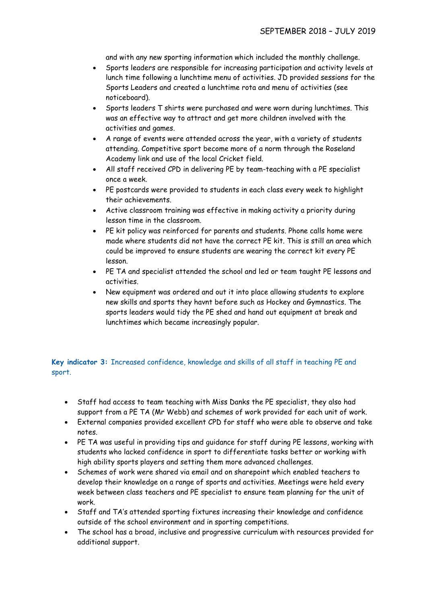and with any new sporting information which included the monthly challenge.

- Sports leaders are responsible for increasing participation and activity levels at lunch time following a lunchtime menu of activities. JD provided sessions for the Sports Leaders and created a lunchtime rota and menu of activities (see noticeboard).
- Sports leaders T shirts were purchased and were worn during lunchtimes. This was an effective way to attract and get more children involved with the activities and games.
- A range of events were attended across the year, with a variety of students attending. Competitive sport become more of a norm through the Roseland Academy link and use of the local Cricket field.
- All staff received CPD in delivering PE by team-teaching with a PE specialist once a week.
- PE postcards were provided to students in each class every week to highlight their achievements.
- Active classroom training was effective in making activity a priority during lesson time in the classroom.
- PE kit policy was reinforced for parents and students. Phone calls home were made where students did not have the correct PE kit. This is still an area which could be improved to ensure students are wearing the correct kit every PE lesson.
- PE TA and specialist attended the school and led or team taught PE lessons and activities.
- New equipment was ordered and out it into place allowing students to explore new skills and sports they havnt before such as Hockey and Gymnastics. The sports leaders would tidy the PE shed and hand out equipment at break and lunchtimes which became increasingly popular.

### **Key indicator 3:** Increased confidence, knowledge and skills of all staff in teaching PE and sport.

- Staff had access to team teaching with Miss Danks the PE specialist, they also had support from a PE TA (Mr Webb) and schemes of work provided for each unit of work.
- External companies provided excellent CPD for staff who were able to observe and take notes.
- PE TA was useful in providing tips and guidance for staff during PE lessons, working with students who lacked confidence in sport to differentiate tasks better or working with high ability sports players and setting them more advanced challenges.
- Schemes of work were shared via email and on sharepoint which enabled teachers to develop their knowledge on a range of sports and activities. Meetings were held every week between class teachers and PE specialist to ensure team planning for the unit of work.
- Staff and TA's attended sporting fixtures increasing their knowledge and confidence outside of the school environment and in sporting competitions.
- The school has a broad, inclusive and progressive curriculum with resources provided for additional support.